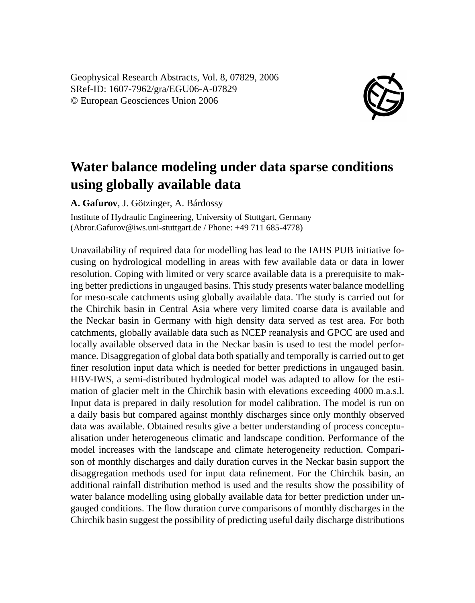Geophysical Research Abstracts, Vol. 8, 07829, 2006 SRef-ID: 1607-7962/gra/EGU06-A-07829 © European Geosciences Union 2006



## **Water balance modeling under data sparse conditions using globally available data**

**A. Gafurov**, J. Götzinger, A. Bárdossy

Institute of Hydraulic Engineering, University of Stuttgart, Germany (Abror.Gafurov@iws.uni-stuttgart.de / Phone: +49 711 685-4778)

Unavailability of required data for modelling has lead to the IAHS PUB initiative focusing on hydrological modelling in areas with few available data or data in lower resolution. Coping with limited or very scarce available data is a prerequisite to making better predictions in ungauged basins. This study presents water balance modelling for meso-scale catchments using globally available data. The study is carried out for the Chirchik basin in Central Asia where very limited coarse data is available and the Neckar basin in Germany with high density data served as test area. For both catchments, globally available data such as NCEP reanalysis and GPCC are used and locally available observed data in the Neckar basin is used to test the model performance. Disaggregation of global data both spatially and temporally is carried out to get finer resolution input data which is needed for better predictions in ungauged basin. HBV-IWS, a semi-distributed hydrological model was adapted to allow for the estimation of glacier melt in the Chirchik basin with elevations exceeding 4000 m.a.s.l. Input data is prepared in daily resolution for model calibration. The model is run on a daily basis but compared against monthly discharges since only monthly observed data was available. Obtained results give a better understanding of process conceptualisation under heterogeneous climatic and landscape condition. Performance of the model increases with the landscape and climate heterogeneity reduction. Comparison of monthly discharges and daily duration curves in the Neckar basin support the disaggregation methods used for input data refinement. For the Chirchik basin, an additional rainfall distribution method is used and the results show the possibility of water balance modelling using globally available data for better prediction under ungauged conditions. The flow duration curve comparisons of monthly discharges in the Chirchik basin suggest the possibility of predicting useful daily discharge distributions